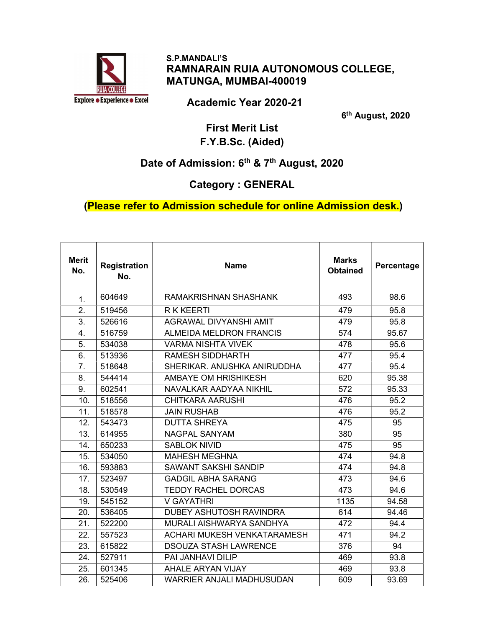

#### S.P.MANDALI'S RAMNARAIN RUIA AUTONOMOUS COLLEGE, MATUNGA, MUMBAI-400019

Academic Year 2020-21

6<sup>th</sup> August, 2020

#### First Merit List F.Y.B.Sc. (Aided)

# Date of Admission: 6<sup>th</sup> & 7<sup>th</sup> August, 2020

#### Category : GENERAL

#### (Please refer to Admission schedule for online Admission desk.)

| <b>Merit</b><br>No. | <b>Registration</b><br>No. | <b>Name</b>                        | <b>Marks</b><br><b>Obtained</b> | Percentage |
|---------------------|----------------------------|------------------------------------|---------------------------------|------------|
| 1.                  | 604649                     | RAMAKRISHNAN SHASHANK              | 493                             | 98.6       |
| 2.                  | 519456                     | <b>R K KEERTI</b>                  | 479                             | 95.8       |
| 3.                  | 526616                     | <b>AGRAWAL DIVYANSHI AMIT</b>      | 479                             | 95.8       |
| 4.                  | 516759                     | <b>ALMEIDA MELDRON FRANCIS</b>     | 574                             | 95.67      |
| 5.                  | 534038                     | <b>VARMA NISHTA VIVEK</b>          | 478                             | 95.6       |
| 6.                  | 513936                     | <b>RAMESH SIDDHARTH</b>            | 477                             | 95.4       |
| 7.                  | 518648                     | SHERIKAR, ANUSHKA ANIRUDDHA        | 477                             | 95.4       |
| 8.                  | 544414                     | <b>AMBAYE OM HRISHIKESH</b>        | 620                             | 95.38      |
| 9.                  | 602541                     | <b>NAVALKAR AADYAA NIKHIL</b>      | 572                             | 95.33      |
| 10.                 | 518556                     | <b>CHITKARA AARUSHI</b>            | 476                             | 95.2       |
| 11.                 | 518578                     | <b>JAIN RUSHAB</b>                 | 476                             | 95.2       |
| 12.                 | 543473                     | <b>DUTTA SHREYA</b>                | 475                             | 95         |
| 13.                 | 614955                     | <b>NAGPAL SANYAM</b>               | 380                             | 95         |
| 14.                 | 650233                     | <b>SABLOK NIVID</b>                | 475                             | 95         |
| 15.                 | 534050                     | <b>MAHESH MEGHNA</b>               | 474                             | 94.8       |
| 16.                 | 593883                     | <b>SAWANT SAKSHI SANDIP</b>        | 474                             | 94.8       |
| 17.                 | 523497                     | <b>GADGIL ABHA SARANG</b>          | 473                             | 94.6       |
| 18.                 | 530549                     | <b>TEDDY RACHEL DORCAS</b>         | 473                             | 94.6       |
| 19.                 | 545152                     | <b>V GAYATHRI</b>                  | 1135                            | 94.58      |
| 20.                 | 536405                     | <b>DUBEY ASHUTOSH RAVINDRA</b>     | 614                             | 94.46      |
| 21.                 | 522200                     | MURALI AISHWARYA SANDHYA           | 472                             | 94.4       |
| 22.                 | 557523                     | <b>ACHARI MUKESH VENKATARAMESH</b> | 471                             | 94.2       |
| 23.                 | 615822                     | <b>DSOUZA STASH LAWRENCE</b>       | 376                             | 94         |
| 24.                 | 527911                     | PAI JANHAVI DILIP                  | 469                             | 93.8       |
| 25.                 | 601345                     | <b>AHALE ARYAN VIJAY</b>           | 469                             | 93.8       |
| 26.                 | 525406                     | WARRIER ANJALI MADHUSUDAN          | 609                             | 93.69      |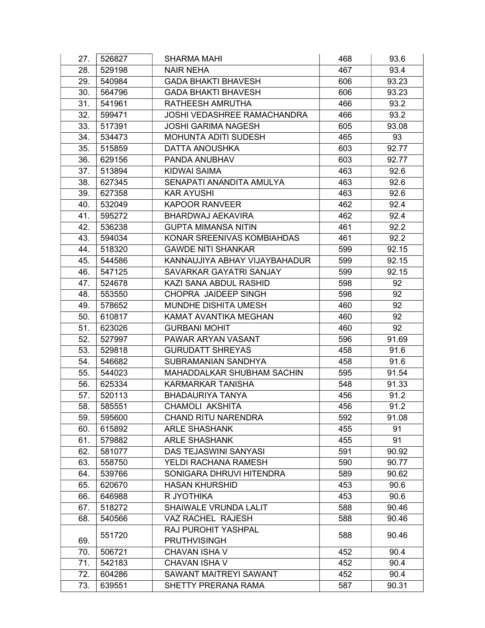| 27. | 526827 | <b>SHARMA MAHI</b>                 | 468 | 93.6  |
|-----|--------|------------------------------------|-----|-------|
| 28. | 529198 | <b>NAIR NEHA</b>                   | 467 | 93.4  |
| 29. | 540984 | <b>GADA BHAKTI BHAVESH</b>         | 606 | 93.23 |
| 30. | 564796 | <b>GADA BHAKTI BHAVESH</b>         | 606 | 93.23 |
| 31. | 541961 | RATHEESH AMRUTHA                   | 466 | 93.2  |
| 32. | 599471 | <b>JOSHI VEDASHREE RAMACHANDRA</b> | 466 | 93.2  |
| 33. | 517391 | <b>JOSHI GARIMA NAGESH</b>         | 605 | 93.08 |
| 34. | 534473 | <b>MOHUNTA ADITI SUDESH</b>        | 465 | 93    |
| 35. | 515859 | <b>DATTA ANOUSHKA</b>              | 603 | 92.77 |
| 36. | 629156 | PANDA ANUBHAV                      | 603 | 92.77 |
| 37. | 513894 | <b>KIDWAI SAIMA</b>                | 463 | 92.6  |
| 38. | 627345 | SENAPATI ANANDITA AMULYA           | 463 | 92.6  |
| 39. | 627358 | <b>KAR AYUSHI</b>                  | 463 | 92.6  |
| 40. | 532049 | <b>KAPOOR RANVEER</b>              | 462 | 92.4  |
| 41. | 595272 | <b>BHARDWAJ AEKAVIRA</b>           | 462 | 92.4  |
| 42. | 536238 | <b>GUPTA MIMANSA NITIN</b>         | 461 | 92.2  |
| 43. | 594034 | KONAR SREENIVAS KOMBIAHDAS         | 461 | 92.2  |
| 44. | 518320 | <b>GAWDE NITI SHANKAR</b>          | 599 | 92.15 |
| 45. | 544586 | KANNAUJIYA ABHAY VIJAYBAHADUR      | 599 | 92.15 |
| 46. | 547125 | SAVARKAR GAYATRI SANJAY            | 599 | 92.15 |
| 47. | 524678 | KAZI SANA ABDUL RASHID             | 598 | 92    |
| 48. | 553550 | CHOPRA JAIDEEP SINGH               | 598 | 92    |
| 49. | 578652 | MUNDHE DISHITA UMESH               | 460 | 92    |
| 50. | 610817 | KAMAT AVANTIKA MEGHAN              | 460 | 92    |
| 51. | 623026 | <b>GURBANI MOHIT</b>               | 460 | 92    |
| 52. | 527997 | PAWAR ARYAN VASANT                 | 596 | 91.69 |
| 53. | 529818 | <b>GURUDATT SHREYAS</b>            | 458 | 91.6  |
| 54. | 546682 | SUBRAMANIAN SANDHYA                | 458 | 91.6  |
| 55. | 544023 | MAHADDALKAR SHUBHAM SACHIN         | 595 | 91.54 |
| 56. | 625334 | <b>KARMARKAR TANISHA</b>           | 548 | 91.33 |
| 57. | 520113 | <b>BHADAURIYA TANYA</b>            | 456 | 91.2  |
| 58. | 585551 | <b>CHAMOLI AKSHITA</b>             | 456 | 91.2  |
| 59. | 595600 | <b>CHAND RITU NARENDRA</b>         | 592 | 91.08 |
| 60. | 615892 | <b>ARLE SHASHANK</b>               | 455 | 91    |
| 61. | 579882 | <b>ARLE SHASHANK</b>               | 455 | 91    |
| 62. | 581077 | <b>DAS TEJASWINI SANYASI</b>       | 591 | 90.92 |
| 63. | 558750 | YELDI RACHANA RAMESH               | 590 | 90.77 |
| 64. | 539766 | SONIGARA DHRUVI HITENDRA           | 589 | 90.62 |
| 65. | 620670 | <b>HASAN KHURSHID</b>              | 453 | 90.6  |
| 66. | 646988 | R JYOTHIKA                         | 453 | 90.6  |
| 67. | 518272 | SHAIWALE VRUNDA LALIT              | 588 | 90.46 |
| 68. | 540566 | VAZ RACHEL RAJESH                  | 588 | 90.46 |
|     |        | RAJ PUROHIT YASHPAL                |     |       |
| 69. | 551720 | <b>PRUTHVISINGH</b>                | 588 | 90.46 |
| 70. | 506721 | <b>CHAVAN ISHA V</b>               | 452 | 90.4  |
| 71. | 542183 | <b>CHAVAN ISHA V</b>               | 452 | 90.4  |
| 72. | 604286 | SAWANT MAITREYI SAWANT             | 452 | 90.4  |
| 73. | 639551 | SHETTY PRERANA RAMA                | 587 | 90.31 |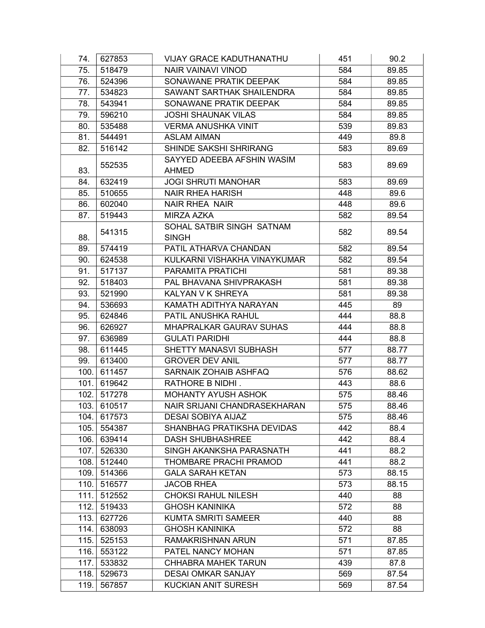| 74.  | 627853 | VIJAY GRACE KADUTHANATHU       | 451 | 90.2  |
|------|--------|--------------------------------|-----|-------|
| 75.  | 518479 | <b>NAIR VAINAVI VINOD</b>      | 584 | 89.85 |
| 76.  | 524396 | SONAWANE PRATIK DEEPAK         | 584 | 89.85 |
| 77.  | 534823 | SAWANT SARTHAK SHAILENDRA      | 584 | 89.85 |
| 78.  | 543941 | SONAWANE PRATIK DEEPAK         | 584 | 89.85 |
| 79.  | 596210 | <b>JOSHI SHAUNAK VILAS</b>     | 584 | 89.85 |
| 80.  | 535488 | <b>VERMA ANUSHKA VINIT</b>     | 539 | 89.83 |
| 81.  | 544491 | <b>ASLAM AIMAN</b>             | 449 | 89.8  |
| 82.  | 516142 | SHINDE SAKSHI SHRIRANG         | 583 | 89.69 |
|      | 552535 | SAYYED ADEEBA AFSHIN WASIM     | 583 | 89.69 |
| 83.  |        | <b>AHMED</b>                   |     |       |
| 84.  | 632419 | <b>JOGI SHRUTI MANOHAR</b>     | 583 | 89.69 |
| 85.  | 510655 | <b>NAIR RHEA HARISH</b>        | 448 | 89.6  |
| 86.  | 602040 | <b>NAIR RHEA NAIR</b>          | 448 | 89.6  |
| 87.  | 519443 | <b>MIRZA AZKA</b>              | 582 | 89.54 |
|      | 541315 | SOHAL SATBIR SINGH SATNAM      | 582 | 89.54 |
| 88.  |        | <b>SINGH</b>                   |     |       |
| 89.  | 574419 | PATIL ATHARVA CHANDAN          | 582 | 89.54 |
| 90.  | 624538 | KULKARNI VISHAKHA VINAYKUMAR   | 582 | 89.54 |
| 91.  | 517137 | PARAMITA PRATICHI              | 581 | 89.38 |
| 92.  | 518403 | PAL BHAVANA SHIVPRAKASH        | 581 | 89.38 |
| 93.  | 521990 | KALYAN V K SHREYA              | 581 | 89.38 |
| 94.  | 536693 | KAMATH ADITHYA NARAYAN         | 445 | 89    |
| 95.  | 624846 | PATIL ANUSHKA RAHUL            | 444 | 88.8  |
| 96.  | 626927 | <b>MHAPRALKAR GAURAV SUHAS</b> | 444 | 88.8  |
| 97.  | 636989 | <b>GULATI PARIDHI</b>          | 444 | 88.8  |
| 98.  | 611445 | SHETTY MANASVI SUBHASH         | 577 | 88.77 |
| 99.  | 613400 | <b>GROVER DEV ANIL</b>         | 577 | 88.77 |
| 100. | 611457 | SARNAIK ZOHAIB ASHFAQ          | 576 | 88.62 |
| 101. | 619642 | RATHORE B NIDHI.               | 443 | 88.6  |
| 102. | 517278 | MOHANTY AYUSH ASHOK            | 575 | 88.46 |
| 103. | 610517 | NAIR SRIJANI CHANDRASEKHARAN   | 575 | 88.46 |
| 104. | 617573 | <b>DESAI SOBIYA AIJAZ</b>      | 575 | 88.46 |
| 105. | 554387 | SHANBHAG PRATIKSHA DEVIDAS     | 442 | 88.4  |
| 106. | 639414 | <b>DASH SHUBHASHREE</b>        | 442 | 88.4  |
| 107. | 526330 | SINGH AKANKSHA PARASNATH       | 441 | 88.2  |
| 108. | 512440 | THOMBARE PRACHI PRAMOD         | 441 | 88.2  |
| 109. | 514366 | <b>GALA SARAH KETAN</b>        | 573 | 88.15 |
| 110. | 516577 | <b>JACOB RHEA</b>              | 573 | 88.15 |
| 111. | 512552 | <b>CHOKSI RAHUL NILESH</b>     | 440 | 88    |
| 112. | 519433 | <b>GHOSH KANINIKA</b>          | 572 | 88    |
| 113. | 627726 | <b>KUMTA SMRITI SAMEER</b>     | 440 | 88    |
| 114. | 638093 | <b>GHOSH KANINIKA</b>          | 572 | 88    |
| 115. | 525153 | RAMAKRISHNAN ARUN              | 571 | 87.85 |
| 116. | 553122 | PATEL NANCY MOHAN              | 571 | 87.85 |
| 117. | 533832 | <b>CHHABRA MAHEK TARUN</b>     | 439 | 87.8  |
| 118. | 529673 | <b>DESAI OMKAR SANJAY</b>      | 569 | 87.54 |
| 119. | 567857 | KUCKIAN ANIT SURESH            | 569 | 87.54 |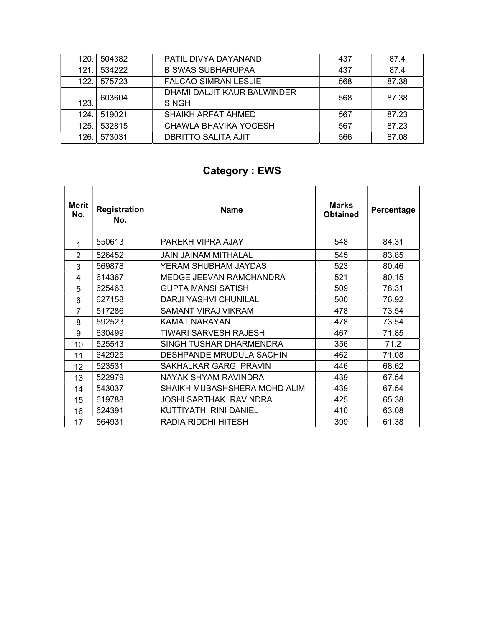| 120. | 504382 | PATIL DIVYA DAYANAND                        | 437 | 87.4  |
|------|--------|---------------------------------------------|-----|-------|
| 121. | 534222 | <b>BISWAS SUBHARUPAA</b>                    | 437 | 87.4  |
| 122. | 575723 | <b>FALCAO SIMRAN LESLIE</b>                 | 568 | 87.38 |
| 123. | 603604 | DHAMI DALJIT KAUR BALWINDER<br><b>SINGH</b> | 568 | 87.38 |
| 124. | 519021 | <b>SHAIKH ARFAT AHMED</b>                   | 567 | 87.23 |
| 125. | 532815 | CHAWLA BHAVIKA YOGESH                       | 567 | 87.23 |
| 126. | 573031 | <b>DBRITTO SALITA AJIT</b>                  | 566 | 87.08 |

# Category : EWS

| Merit<br>No.   | <b>Registration</b><br>No. | <b>Name</b>                     | <b>Marks</b><br><b>Obtained</b> | Percentage |
|----------------|----------------------------|---------------------------------|---------------------------------|------------|
| 1              | 550613                     | PAREKH VIPRA AJAY               | 548                             | 84.31      |
| 2              | 526452                     | <b>JAIN JAINAM MITHALAL</b>     | 545                             | 83.85      |
| 3              | 569878                     | YERAM SHUBHAM JAYDAS            | 523                             | 80.46      |
| 4              | 614367                     | MEDGE JEEVAN RAMCHANDRA         | 521                             | 80.15      |
| 5              | 625463                     | <b>GUPTA MANSI SATISH</b>       | 509                             | 78.31      |
| 6              | 627158                     | <b>DARJI YASHVI CHUNILAL</b>    | 500                             | 76.92      |
| $\overline{7}$ | 517286                     | SAMANT VIRAJ VIKRAM             | 478                             | 73.54      |
| 8              | 592523                     | KAMAT NARAYAN                   | 478                             | 73.54      |
| 9              | 630499                     | TIWARI SARVESH RAJESH           | 467                             | 71.85      |
| 10             | 525543                     | SINGH TUSHAR DHARMENDRA         | 356                             | 71.2       |
| 11             | 642925                     | <b>DESHPANDE MRUDULA SACHIN</b> | 462                             | 71.08      |
| 12             | 523531                     | SAKHALKAR GARGI PRAVIN          | 446                             | 68.62      |
| 13             | 522979                     | NAYAK SHYAM RAVINDRA            | 439                             | 67.54      |
| 14             | 543037                     | SHAIKH MUBASHSHERA MOHD ALIM    | 439                             | 67.54      |
| 15             | 619788                     | JOSHI SARTHAK RAVINDRA          | 425                             | 65.38      |
| 16             | 624391                     | KUTTIYATH RINI DANIEL           | 410                             | 63.08      |
| 17             | 564931                     | RADIA RIDDHI HITESH             | 399                             | 61.38      |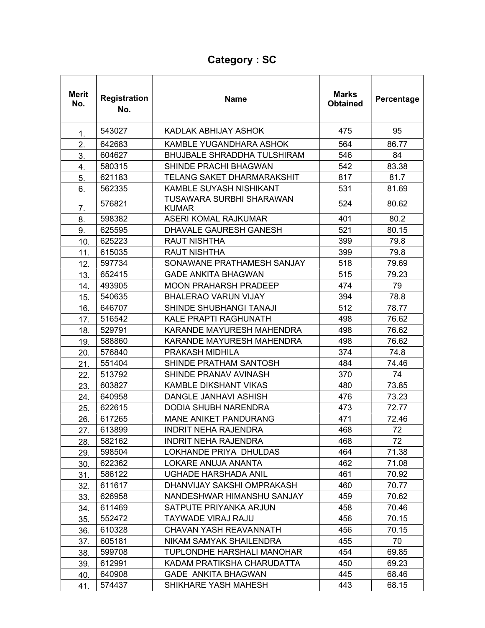# Category : SC

| <b>Merit</b><br>No. | <b>Registration</b><br>No. | <b>Name</b>                              | <b>Marks</b><br><b>Obtained</b> | Percentage |
|---------------------|----------------------------|------------------------------------------|---------------------------------|------------|
| 1.                  | 543027                     | KADLAK ABHIJAY ASHOK                     | 475                             | 95         |
| 2.                  | 642683                     | KAMBLE YUGANDHARA ASHOK                  | 564                             | 86.77      |
| 3.                  | 604627                     | <b>BHUJBALE SHRADDHA TULSHIRAM</b>       | 546                             | 84         |
| 4.                  | 580315                     | SHINDE PRACHI BHAGWAN                    | 542                             | 83.38      |
| 5.                  | 621183                     | <b>TELANG SAKET DHARMARAKSHIT</b>        | 817                             | 81.7       |
| 6.                  | 562335                     | KAMBLE SUYASH NISHIKANT                  | 531                             | 81.69      |
| 7.                  | 576821                     | TUSAWARA SURBHI SHARAWAN<br><b>KUMAR</b> | 524                             | 80.62      |
| 8.                  | 598382                     | <b>ASERI KOMAL RAJKUMAR</b>              | 401                             | 80.2       |
| 9.                  | 625595                     | <b>DHAVALE GAURESH GANESH</b>            | 521                             | 80.15      |
| 10.                 | 625223                     | <b>RAUT NISHTHA</b>                      | 399                             | 79.8       |
| 11.                 | 615035                     | <b>RAUT NISHTHA</b>                      | 399                             | 79.8       |
| 12.                 | 597734                     | SONAWANE PRATHAMESH SANJAY               | 518                             | 79.69      |
| 13.                 | 652415                     | <b>GADE ANKITA BHAGWAN</b>               | 515                             | 79.23      |
| 14.                 | 493905                     | <b>MOON PRAHARSH PRADEEP</b>             | 474                             | 79         |
| 15.                 | 540635                     | <b>BHALERAO VARUN VIJAY</b>              | 394                             | 78.8       |
| 16.                 | 646707                     | SHINDE SHUBHANGI TANAJI                  | 512                             | 78.77      |
| 17.                 | 516542                     | <b>KALE PRAPTI RAGHUNATH</b>             | 498                             | 76.62      |
| 18.                 | 529791                     | KARANDE MAYURESH MAHENDRA                | 498                             | 76.62      |
| 19.                 | 588860                     | KARANDE MAYURESH MAHENDRA                | 498                             | 76.62      |
| 20.                 | 576840                     | PRAKASH MIDHILA                          | 374                             | 74.8       |
| 21.                 | 551404                     | SHINDE PRATHAM SANTOSH                   | 484                             | 74.46      |
| 22.                 | 513792                     | SHINDE PRANAV AVINASH                    | 370                             | 74         |
| 23.                 | 603827                     | <b>KAMBLE DIKSHANT VIKAS</b>             | 480                             | 73.85      |
| 24.                 | 640958                     | <b>DANGLE JANHAVI ASHISH</b>             | 476                             | 73.23      |
| 25.                 | 622615                     | <b>DODIA SHUBH NARENDRA</b>              | 473                             | 72.77      |
| 26.                 | 617265                     | <b>MANE ANIKET PANDURANG</b>             | 471                             | 72.46      |
| 27.                 | 613899                     | <b>INDRIT NEHA RAJENDRA</b>              | 468                             | 72         |
| 28.                 | 582162                     | <b>INDRIT NEHA RAJENDRA</b>              | 468                             | 72         |
| 29.                 | 598504                     | LOKHANDE PRIYA DHULDAS                   | 464                             | 71.38      |
| 30.                 | 622362                     | LOKARE ANUJA ANANTA                      | 462                             | 71.08      |
| 31.                 | 586122                     | <b>UGHADE HARSHADA ANIL</b>              | 461                             | 70.92      |
| 32.                 | 611617                     | DHANVIJAY SAKSHI OMPRAKASH               | 460                             | 70.77      |
| 33.                 | 626958                     | NANDESHWAR HIMANSHU SANJAY               | 459                             | 70.62      |
| 34.                 | 611469                     | SATPUTE PRIYANKA ARJUN                   | 458                             | 70.46      |
| 35.                 | 552472                     | TAYWADE VIRAJ RAJU                       | 456                             | 70.15      |
| 36.                 | 610328                     | CHAVAN YASH REAVANNATH                   | 456                             | 70.15      |
| 37.                 | 605181                     | NIKAM SAMYAK SHAILENDRA                  | 455                             | 70         |
| 38.                 | 599708                     | TUPLONDHE HARSHALI MANOHAR               | 454                             | 69.85      |
| 39.                 | 612991                     | KADAM PRATIKSHA CHARUDATTA               | 450                             | 69.23      |
| 40.                 | 640908                     | GADE ANKITA BHAGWAN                      | 445                             | 68.46      |
| 41.                 | 574437                     | SHIKHARE YASH MAHESH                     | 443                             | 68.15      |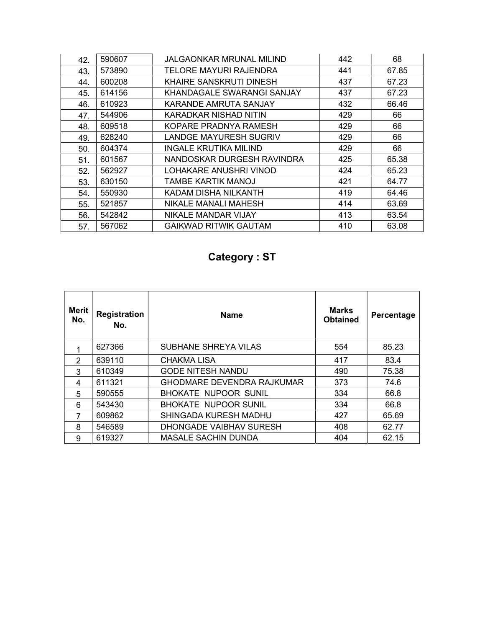| 42. | 590607 | <b>JALGAONKAR MRUNAL MILIND</b> | 442 | 68    |
|-----|--------|---------------------------------|-----|-------|
| 43. | 573890 | TELORE MAYURI RAJENDRA          | 441 | 67.85 |
| 44. | 600208 | KHAIRE SANSKRUTI DINESH         | 437 | 67.23 |
| 45. | 614156 | KHANDAGALE SWARANGI SANJAY      | 437 | 67.23 |
| 46. | 610923 | KARANDE AMRUTA SANJAY           | 432 | 66.46 |
| 47. | 544906 | KARADKAR NISHAD NITIN           | 429 | 66    |
| 48. | 609518 | KOPARE PRADNYA RAMESH           | 429 | 66    |
| 49. | 628240 | <b>LANDGE MAYURESH SUGRIV</b>   | 429 | 66    |
| 50. | 604374 | <b>INGALE KRUTIKA MILIND</b>    | 429 | 66    |
| 51. | 601567 | NANDOSKAR DURGESH RAVINDRA      | 425 | 65.38 |
| 52. | 562927 | LOHAKARE ANUSHRI VINOD          | 424 | 65.23 |
| 53. | 630150 | TAMBE KARTIK MANOJ              | 421 | 64.77 |
| 54. | 550930 | KADAM DISHA NILKANTH            | 419 | 64.46 |
| 55. | 521857 | NIKALE MANALI MAHESH            | 414 | 63.69 |
| 56. | 542842 | NIKALE MANDAR VIJAY             | 413 | 63.54 |
| 57. | 567062 | <b>GAIKWAD RITWIK GAUTAM</b>    | 410 | 63.08 |

## Category : ST

| Merit<br>No. | <b>Registration</b><br>No. | <b>Name</b>                       | <b>Marks</b><br><b>Obtained</b> | Percentage |
|--------------|----------------------------|-----------------------------------|---------------------------------|------------|
|              | 627366                     | SUBHANE SHREYA VILAS              | 554                             | 85.23      |
| 2            | 639110                     | CHAKMA LISA                       | 417                             | 83.4       |
| 3            | 610349                     | <b>GODE NITESH NANDU</b>          | 490                             | 75.38      |
| 4            | 611321                     | <b>GHODMARE DEVENDRA RAJKUMAR</b> | 373                             | 74.6       |
| 5            | 590555                     | <b>BHOKATE NUPOOR SUNIL</b>       | 334                             | 66.8       |
| 6            | 543430                     | <b>BHOKATE NUPOOR SUNIL</b>       | 334                             | 66.8       |
| 7            | 609862                     | SHINGADA KURESH MADHU             | 427                             | 65.69      |
| 8            | 546589                     | DHONGADE VAIBHAV SURESH           | 408                             | 62.77      |
| 9            | 619327                     | <b>MASALE SACHIN DUNDA</b>        | 404                             | 62.15      |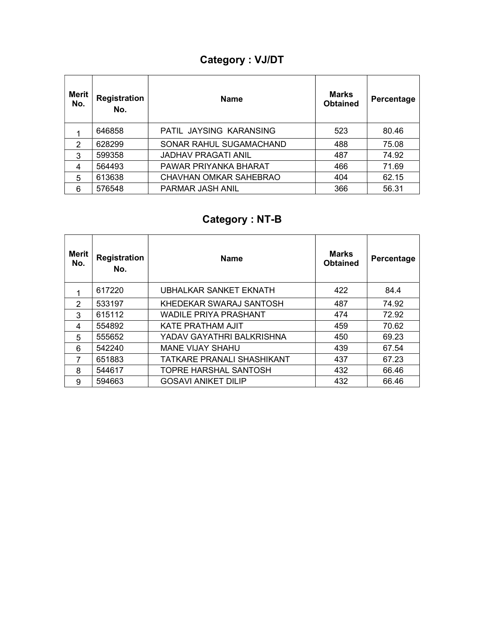## Category : VJ/DT

| Merit<br>No.  | <b>Registration</b><br>No. | <b>Name</b>                | <b>Marks</b><br><b>Obtained</b> | Percentage |
|---------------|----------------------------|----------------------------|---------------------------------|------------|
|               | 646858                     | PATIL JAYSING KARANSING    | 523                             | 80.46      |
| $\mathcal{P}$ | 628299                     | SONAR RAHUL SUGAMACHAND    | 488                             | 75.08      |
| 3             | 599358                     | <b>JADHAV PRAGATI ANIL</b> | 487                             | 74.92      |
| 4             | 564493                     | PAWAR PRIYANKA BHARAT      | 466                             | 71.69      |
| 5             | 613638                     | CHAVHAN OMKAR SAHEBRAO     | 404                             | 62.15      |
| 6             | 576548                     | PARMAR JASH ANIL           | 366                             | 56.31      |

# Category : NT-B

| Merit<br>No.  | <b>Registration</b><br>No. | <b>Name</b>                       | <b>Marks</b><br><b>Obtained</b> | Percentage |
|---------------|----------------------------|-----------------------------------|---------------------------------|------------|
|               | 617220                     | UBHALKAR SANKET EKNATH            | 422                             | 84.4       |
| $\mathcal{P}$ | 533197                     | KHEDEKAR SWARAJ SANTOSH           | 487                             | 74.92      |
| 3             | 615112                     | <b>WADILE PRIYA PRASHANT</b>      | 474                             | 72.92      |
| 4             | 554892                     | <b>KATE PRATHAM AJIT</b>          | 459                             | 70.62      |
| 5             | 555652                     | YADAV GAYATHRI BALKRISHNA         | 450                             | 69.23      |
| 6             | 542240                     | <b>MANE VIJAY SHAHU</b>           | 439                             | 67.54      |
| 7             | 651883                     | <b>TATKARE PRANALI SHASHIKANT</b> | 437                             | 67.23      |
| 8             | 544617                     | TOPRE HARSHAL SANTOSH             | 432                             | 66.46      |
| 9             | 594663                     | <b>GOSAVI ANIKET DILIP</b>        | 432                             | 66.46      |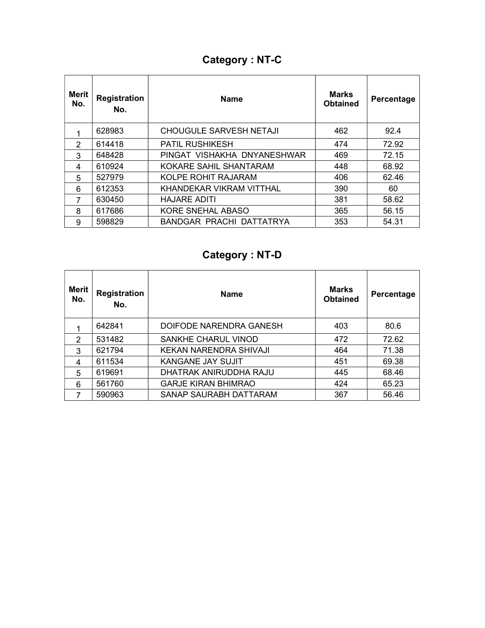## Category : NT-C

| Merit<br>No.  | <b>Registration</b><br>No. | <b>Name</b>                 | <b>Marks</b><br><b>Obtained</b> | Percentage |
|---------------|----------------------------|-----------------------------|---------------------------------|------------|
|               | 628983                     | CHOUGULE SARVESH NETAJI     | 462                             | 92.4       |
| $\mathcal{P}$ | 614418                     | <b>PATIL RUSHIKESH</b>      | 474                             | 72.92      |
| 3             | 648428                     | PINGAT VISHAKHA DNYANESHWAR | 469                             | 72.15      |
| 4             | 610924                     | KOKARE SAHIL SHANTARAM      | 448                             | 68.92      |
| 5             | 527979                     | KOLPE ROHIT RAJARAM         | 406                             | 62.46      |
| 6             | 612353                     | KHANDEKAR VIKRAM VITTHAL    | 390                             | 60         |
| 7             | 630450                     | <b>HAJARE ADITI</b>         | 381                             | 58.62      |
| 8             | 617686                     | KORE SNEHAL ABASO           | 365                             | 56.15      |
| 9             | 598829                     | BANDGAR PRACHI DATTATRYA    | 353                             | 54.31      |

# Category : NT-D

| <b>Merit</b><br>No. | <b>Registration</b><br>No. | <b>Name</b>                | <b>Marks</b><br><b>Obtained</b> | Percentage |
|---------------------|----------------------------|----------------------------|---------------------------------|------------|
|                     | 642841                     | DOIFODE NARENDRA GANESH    | 403                             | 80.6       |
| $\mathcal{P}$       | 531482                     | <b>SANKHE CHARUL VINOD</b> | 472                             | 72.62      |
| 3                   | 621794                     | KEKAN NARENDRA SHIVAJI     | 464                             | 71.38      |
| 4                   | 611534                     | KANGANE JAY SUJIT          | 451                             | 69.38      |
| 5                   | 619691                     | DHATRAK ANIRUDDHA RAJU     | 445                             | 68.46      |
| 6                   | 561760                     | <b>GARJE KIRAN BHIMRAO</b> | 424                             | 65.23      |
| 7                   | 590963                     | SANAP SAURABH DATTARAM     | 367                             | 56.46      |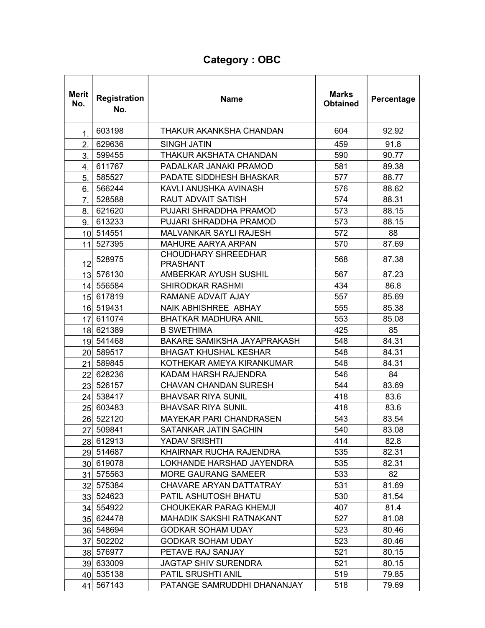## Category : OBC

| <b>Merit</b><br>No. | <b>Registration</b><br>No. | <b>Name</b>                                   | <b>Marks</b><br><b>Obtained</b> | Percentage |
|---------------------|----------------------------|-----------------------------------------------|---------------------------------|------------|
| 1.                  | 603198                     | THAKUR AKANKSHA CHANDAN                       | 604                             | 92.92      |
| 2.                  | 629636                     | SINGH JATIN                                   | 459                             | 91.8       |
| 3.                  | 599455                     | THAKUR AKSHATA CHANDAN                        | 590                             | 90.77      |
| 4.                  | 611767                     | PADALKAR JANAKI PRAMOD                        | 581                             | 89.38      |
| 5.                  | 585527                     | <b>PADATE SIDDHESH BHASKAR</b>                | 577                             | 88.77      |
| 6.                  | 566244                     | KAVLI ANUSHKA AVINASH                         | 576                             | 88.62      |
| 7.                  | 528588                     | <b>RAUT ADVAIT SATISH</b>                     | 574                             | 88.31      |
| 8.                  | 621620                     | PUJARI SHRADDHA PRAMOD                        | 573                             | 88.15      |
| 9.                  | 613233                     | PUJARI SHRADDHA PRAMOD                        | 573                             | 88.15      |
|                     | 10 514551                  | <b>MALVANKAR SAYLI RAJESH</b>                 | 572                             | 88         |
| 11                  | 527395                     | <b>MAHURE AARYA ARPAN</b>                     | 570                             | 87.69      |
| 12                  | 528975                     | <b>CHOUDHARY SHREEDHAR</b><br><b>PRASHANT</b> | 568                             | 87.38      |
|                     | 13 576130                  | AMBERKAR AYUSH SUSHIL                         | 567                             | 87.23      |
|                     | 14 556584                  | <b>SHIRODKAR RASHMI</b>                       | 434                             | 86.8       |
|                     | 15 617819                  | <b>RAMANE ADVAIT AJAY</b>                     | 557                             | 85.69      |
|                     | 16 519431                  | NAIK ABHISHREE ABHAY                          | 555                             | 85.38      |
|                     | 17 611074                  | <b>BHATKAR MADHURA ANIL</b>                   | 553                             | 85.08      |
|                     | 18 621389                  | <b>B SWETHIMA</b>                             | 425                             | 85         |
|                     | 19 541468                  | <b>BAKARE SAMIKSHA JAYAPRAKASH</b>            | 548                             | 84.31      |
|                     | 20 589517                  | <b>BHAGAT KHUSHAL KESHAR</b>                  | 548                             | 84.31      |
|                     | 21 589845                  | KOTHEKAR AMEYA KIRANKUMAR                     | 548                             | 84.31      |
|                     | 22 628236                  | KADAM HARSH RAJENDRA                          | 546                             | 84         |
|                     | 23 526157                  | <b>CHAVAN CHANDAN SURESH</b>                  | 544                             | 83.69      |
|                     | 24 538417                  | <b>BHAVSAR RIYA SUNIL</b>                     | 418                             | 83.6       |
|                     | 25 603483                  | <b>BHAVSAR RIYA SUNIL</b>                     | 418                             | 83.6       |
|                     | 26 522120                  | <b>MAYEKAR PARI CHANDRASEN</b>                | 543                             | 83.54      |
|                     | 27 509841                  | SATANKAR JATIN SACHIN                         | 540                             | 83.08      |
|                     | 28 612913                  | <b>YADAV SRISHTI</b>                          | 414                             | 82.8       |
|                     | 29 514687                  | KHAIRNAR RUCHA RAJENDRA                       | 535                             | 82.31      |
|                     | 30 619078                  | LOKHANDE HARSHAD JAYENDRA                     | 535                             | 82.31      |
| 31                  | 575563                     | <b>MORE GAURANG SAMEER</b>                    | 533                             | 82         |
|                     | 32 575384                  | CHAVARE ARYAN DATTATRAY                       | 531                             | 81.69      |
|                     | 33 524623                  | PATIL ASHUTOSH BHATU                          | 530                             | 81.54      |
|                     | 34 554922                  | CHOUKEKAR PARAG KHEMJI                        | 407                             | 81.4       |
|                     | 35 624478                  | MAHADIK SAKSHI RATNAKANT                      | 527                             | 81.08      |
|                     | 36 548694                  | <b>GODKAR SOHAM UDAY</b>                      | 523                             | 80.46      |
|                     | 37 502202                  | <b>GODKAR SOHAM UDAY</b>                      | 523                             | 80.46      |
|                     | 38 576977                  | PETAVE RAJ SANJAY                             | 521                             | 80.15      |
|                     | 39 633009                  | <b>JAGTAP SHIV SURENDRA</b>                   | 521                             | 80.15      |
|                     | 40 535138                  | PATIL SRUSHTI ANIL                            | 519                             | 79.85      |
|                     | 41 567143                  | PATANGE SAMRUDDHI DHANANJAY                   | 518                             | 79.69      |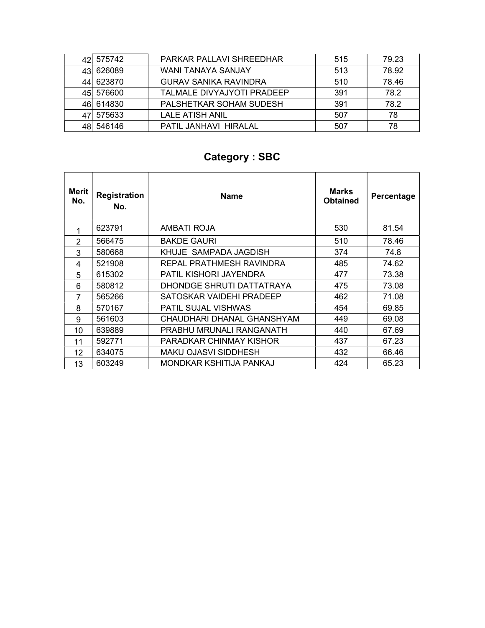| 421 | 575742    | PARKAR PALLAVI SHREEDHAR     | 515 | 79.23 |
|-----|-----------|------------------------------|-----|-------|
| 431 | 626089    | WANI TANAYA SANJAY           | 513 | 78.92 |
| 441 | 623870    | <b>GURAV SANIKA RAVINDRA</b> | 510 | 78.46 |
|     | 45 576600 | TALMALE DIVYAJYOTI PRADEEP   | 391 | 78.2  |
| 461 | 614830    | PALSHETKAR SOHAM SUDESH      | 391 | 78.2  |
|     | 575633    | <b>LALE ATISH ANIL</b>       | 507 | 78    |
|     | 546146    | PATIL JANHAVI HIRALAL        | 507 | 78    |

# Category : SBC

| Merit<br>No. | <b>Registration</b><br>No. | <b>Name</b>                | Marks<br><b>Obtained</b> | Percentage |
|--------------|----------------------------|----------------------------|--------------------------|------------|
|              | 623791                     | AMBATI ROJA                | 530                      | 81.54      |
| 2            | 566475                     | <b>BAKDE GAURI</b>         | 510                      | 78.46      |
| 3            | 580668                     | KHUJE SAMPADA JAGDISH      | 374                      | 74.8       |
| 4            | 521908                     | REPAL PRATHMESH RAVINDRA   | 485                      | 74.62      |
| 5            | 615302                     | PATIL KISHORI JAYENDRA     | 477                      | 73.38      |
| 6            | 580812                     | DHONDGE SHRUTI DATTATRAYA  | 475                      | 73.08      |
| 7            | 565266                     | SATOSKAR VAIDEHI PRADEEP   | 462                      | 71.08      |
| 8            | 570167                     | <b>PATIL SUJAL VISHWAS</b> | 454                      | 69.85      |
| 9            | 561603                     | CHAUDHARI DHANAL GHANSHYAM | 449                      | 69.08      |
| 10           | 639889                     | PRABHU MRUNALI RANGANATH   | 440                      | 67.69      |
| 11           | 592771                     | PARADKAR CHINMAY KISHOR    | 437                      | 67.23      |
| 12           | 634075                     | MAKU OJASVI SIDDHESH       | 432                      | 66.46      |
| 13           | 603249                     | MONDKAR KSHITIJA PANKAJ    | 424                      | 65.23      |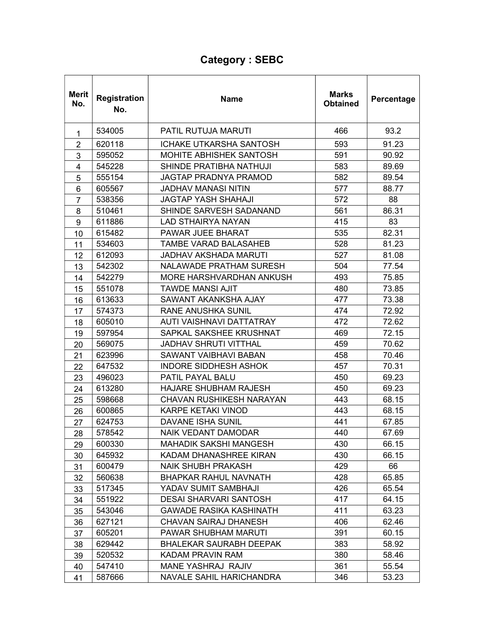## Category : SEBC

| <b>Merit</b><br>No. | Registration<br>No. | Name                            | <b>Marks</b><br><b>Obtained</b> | Percentage |
|---------------------|---------------------|---------------------------------|---------------------------------|------------|
| 1                   | 534005              | PATIL RUTUJA MARUTI             | 466                             | 93.2       |
| $\overline{2}$      | 620118              | <b>ICHAKE UTKARSHA SANTOSH</b>  | 593                             | 91.23      |
| 3                   | 595052              | MOHITE ABHISHEK SANTOSH         | 591                             | 90.92      |
| 4                   | 545228              | SHINDE PRATIBHA NATHUJI         | 583                             | 89.69      |
| 5                   | 555154              | JAGTAP PRADNYA PRAMOD           | 582                             | 89.54      |
| 6                   | 605567              | <b>JADHAV MANASI NITIN</b>      | 577                             | 88.77      |
| $\overline{7}$      | 538356              | <b>JAGTAP YASH SHAHAJI</b>      | 572                             | 88         |
| 8                   | 510461              | SHINDE SARVESH SADANAND         | 561                             | 86.31      |
| 9                   | 611886              | <b>LAD STHAIRYA NAYAN</b>       | 415                             | 83         |
| 10                  | 615482              | PAWAR JUEE BHARAT               | 535                             | 82.31      |
| 11                  | 534603              | <b>TAMBE VARAD BALASAHEB</b>    | 528                             | 81.23      |
| 12                  | 612093              | <b>JADHAV AKSHADA MARUTI</b>    | 527                             | 81.08      |
| 13                  | 542302              | <b>NALAWADE PRATHAM SURESH</b>  | 504                             | 77.54      |
| 14                  | 542279              | MORE HARSHVARDHAN ANKUSH        | 493                             | 75.85      |
| 15                  | 551078              | <b>TAWDE MANSI AJIT</b>         | 480                             | 73.85      |
| 16                  | 613633              | SAWANT AKANKSHA AJAY            | 477                             | 73.38      |
| 17                  | 574373              | <b>RANE ANUSHKA SUNIL</b>       | 474                             | 72.92      |
| 18                  | 605010              | AUTI VAISHNAVI DATTATRAY        | 472                             | 72.62      |
| 19                  | 597954              | SAPKAL SAKSHEE KRUSHNAT         | 469                             | 72.15      |
| 20                  | 569075              | <b>JADHAV SHRUTI VITTHAL</b>    | 459                             | 70.62      |
| 21                  | 623996              | SAWANT VAIBHAVI BABAN           | 458                             | 70.46      |
| 22                  | 647532              | <b>INDORE SIDDHESH ASHOK</b>    | 457                             | 70.31      |
| 23                  | 496023              | <b>PATIL PAYAL BALU</b>         | 450                             | 69.23      |
| 24                  | 613280              | <b>HAJARE SHUBHAM RAJESH</b>    | 450                             | 69.23      |
| 25                  | 598668              | <b>CHAVAN RUSHIKESH NARAYAN</b> | 443                             | 68.15      |
| 26                  | 600865              | <b>KARPE KETAKI VINOD</b>       | 443                             | 68.15      |
| 27                  | 624753              | <b>DAVANE ISHA SUNIL</b>        | 441                             | 67.85      |
| 28                  | 578542              | NAIK VEDANT DAMODAR             | 440                             | 67.69      |
| 29                  | 600330              | <b>MAHADIK SAKSHI MANGESH</b>   | 430                             | 66.15      |
| 30                  | 645932              | KADAM DHANASHREE KIRAN          | 430                             | 66.15      |
| 31                  | 600479              | <b>NAIK SHUBH PRAKASH</b>       | 429                             | 66         |
| 32                  | 560638              | <b>BHAPKAR RAHUL NAVNATH</b>    | 428                             | 65.85      |
| 33                  | 517345              | YADAV SUMIT SAMBHAJI            | 426                             | 65.54      |
| 34                  | 551922              | <b>DESAI SHARVARI SANTOSH</b>   | 417                             | 64.15      |
| 35                  | 543046              | <b>GAWADE RASIKA KASHINATH</b>  | 411                             | 63.23      |
| 36                  | 627121              | <b>CHAVAN SAIRAJ DHANESH</b>    | 406                             | 62.46      |
| 37                  | 605201              | PAWAR SHUBHAM MARUTI            | 391                             | 60.15      |
| 38                  | 629442              | <b>BHALEKAR SAURABH DEEPAK</b>  | 383                             | 58.92      |
| 39                  | 520532              | KADAM PRAVIN RAM                | 380                             | 58.46      |
| 40                  | 547410              | MANE YASHRAJ RAJIV              | 361                             | 55.54      |
| 41                  | 587666              | NAVALE SAHIL HARICHANDRA        | 346                             | 53.23      |